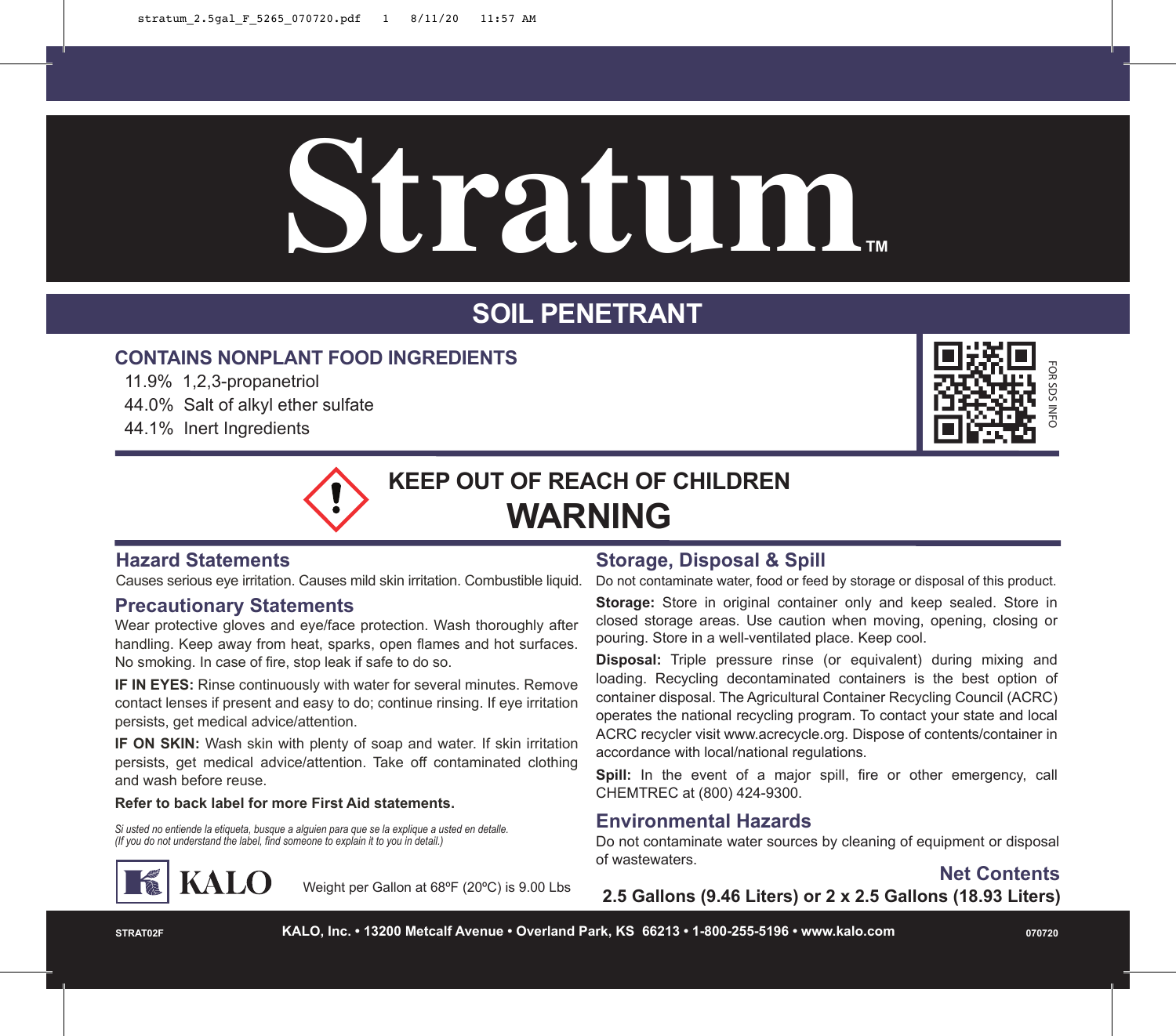# **Stratum™**

# **SOIL PENETRANT**

# **CONTAINS NONPLANT FOOD INGREDIENTS**

- 11.9% 1,2,3-propanetriol
- 44.0% Salt of alkyl ether sulfate
- 44.1% Inert Ingredients



**KEEP OUT OF REACH OF CHILDREN WARNING**

## **Hazard Statements**

Causes serious eye irritation. Causes mild skin irritation. Combustible liquid.

#### **Precautionary Statements**

Wear protective gloves and eye/face protection. Wash thoroughly after handling. Keep away from heat, sparks, open flames and hot surfaces. No smoking. In case of fire, stop leak if safe to do so.

**IF IN EYES:** Rinse continuously with water for several minutes. Remove contact lenses if present and easy to do; continue rinsing. If eye irritation persists, get medical advice/attention.

**IF ON SKIN:** Wash skin with plenty of soap and water. If skin irritation persists, get medical advice/attention. Take off contaminated clothing and wash before reuse.

#### **Refer to back label for more First Aid statements.**

Si usted no entiende la etiqueta, busque a alguien para que se la explique a usted en detalle.<br>(If you do not understand the label, find someone to explain it to you in detail.)



Weight per Gallon at 68ºF (20ºC) is 9.00 Lbs

# **Storage, Disposal & Spill**

Do not contaminate water, food or feed by storage or disposal of this product.

**Storage:** Store in original container only and keep sealed. Store in closed storage areas. Use caution when moving, opening, closing or pouring. Store in a well-ventilated place. Keep cool.

**Disposal:** Triple pressure rinse (or equivalent) during mixing and loading. Recycling decontaminated containers is the best option of container disposal. The Agricultural Container Recycling Council (ACRC) operates the national recycling program. To contact your state and local ACRC recycler visit www.acrecycle.org. Dispose of contents/container in accordance with local/national regulations.

Spill: In the event of a major spill, fire or other emergency, call CHEMTREC at (800) 424-9300.

### **Environmental Hazards**

Do not contaminate water sources by cleaning of equipment or disposal of wastewaters.

**Net Contents**

**2.5 Gallons (9.46 Liters) or 2 x 2.5 Gallons (18.93 Liters)**

**STRAT02F KALO, Inc. • 13200 Metcalf Avenue • Overland Park, KS 66213 • 1-800-255-5196 • www.kalo.com 070720**

FOR SDS INFO